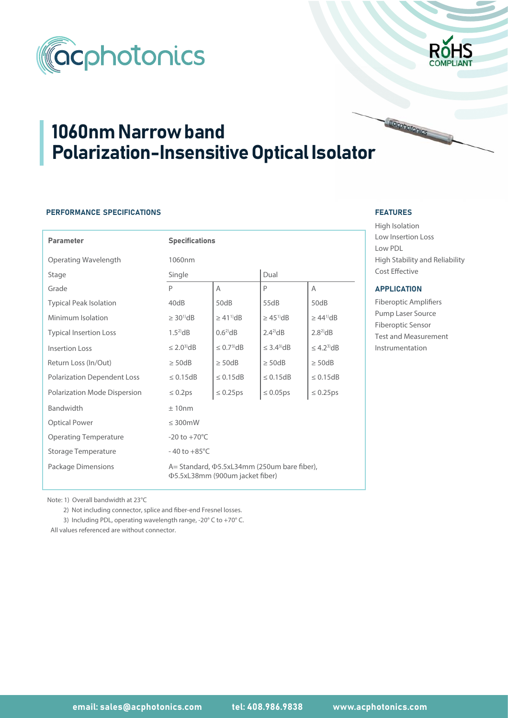



# 1060nm Narrow band Polarization-Insensitive Optical Isolator

# PERFORMANCE SPECIFICATIONS

| <b>Parameter</b>                   | <b>Specifications</b>                                                                        |                               |                              |                              |  |  |
|------------------------------------|----------------------------------------------------------------------------------------------|-------------------------------|------------------------------|------------------------------|--|--|
| Operating Wavelength               | 1060nm                                                                                       |                               |                              |                              |  |  |
| Stage                              | Single                                                                                       |                               | Dual                         |                              |  |  |
| Grade                              | P                                                                                            | Α                             | P                            | A                            |  |  |
| <b>Typical Peak Isolation</b>      | 40dB                                                                                         | 50dB                          | 55dB                         | 50dB                         |  |  |
| Minimum Isolation                  | $\geq 30^{10}$ dB                                                                            | $\geq$ 41 <sup>1</sup> ) $dB$ | $\geq 45^{\mathrm{1}}$ dB    | $>44^{11}$ dB                |  |  |
| <b>Typical Insertion Loss</b>      | $1.52$ dB                                                                                    | $0.6^{2}$ dB                  | $2.4^{2}$ dB                 | $2.8^{2}$ dB                 |  |  |
| <b>Insertion Loss</b>              | $\leq$ 2.0 <sup>3</sup> $dB$                                                                 | $\leq$ 0.7 <sup>3</sup> $dB$  | $\leq$ 3.4 <sup>3</sup> $dB$ | $\leq$ 4.2 <sup>3</sup> $dB$ |  |  |
| Return Loss (In/Out)               | $\geq$ 50dB                                                                                  | $\geq$ 50dB                   | $\geq$ 50dB                  | $\geq$ 50dB                  |  |  |
| <b>Polarization Dependent Loss</b> | $\leq 0.15dB$                                                                                | $\leq 0.15dB$                 | $\leq 0.15dB$                | $\leq 0.15dB$                |  |  |
| Polarization Mode Dispersion       | $\leq 0.2$ ps                                                                                | $\leq 0.25$ ps                | $\leq 0.05$ ps               | $\leq 0.25$ ps               |  |  |
| <b>Bandwidth</b>                   | ±10nm                                                                                        |                               |                              |                              |  |  |
| <b>Optical Power</b>               | $\leq$ 300mW                                                                                 |                               |                              |                              |  |  |
| <b>Operating Temperature</b>       | $-20$ to $+70^{\circ}$ C                                                                     |                               |                              |                              |  |  |
| <b>Storage Temperature</b>         | $-40$ to $+85^{\circ}$ C                                                                     |                               |                              |                              |  |  |
| Package Dimensions                 | A = Standard, $\Phi$ 5.5xL34mm (250um bare fiber),<br><b>Φ5.5xL38mm (900um jacket fiber)</b> |                               |                              |                              |  |  |

#### FEATURES FEATURES

High Isolation Low Insertion Loss Low PDL High Stability and Reliability Cost Effective

cohotonics

## APPLICATION

Fiberoptic Amplifiers Pump Laser Source Fiberoptic Sensor Test and Measurement Instrumentation

Note: 1) Overall bandwidth at 23°C

2) Not including connector, splice and fiber-end Fresnel losses.

3) Including PDL, operating wavelength range, -20° C to +70° C.

All values referenced are without connector.